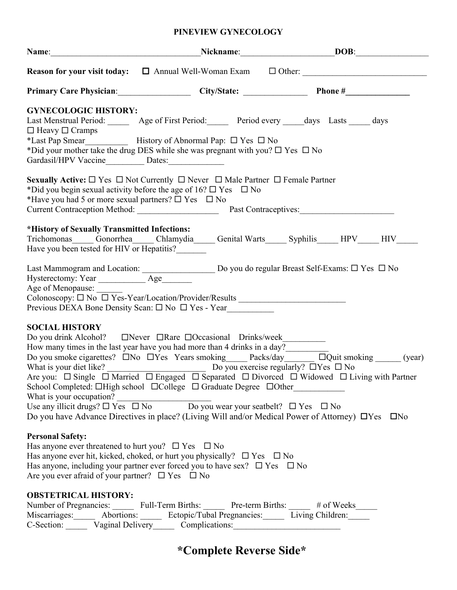## **PINEVIEW GYNECOLOGY**

|                                                                                                                                                       | Name: DOB: DOB:                                                                                                                                                                                                                                                                                                                                                                                                                                                                                                                                                                                                                     |  |
|-------------------------------------------------------------------------------------------------------------------------------------------------------|-------------------------------------------------------------------------------------------------------------------------------------------------------------------------------------------------------------------------------------------------------------------------------------------------------------------------------------------------------------------------------------------------------------------------------------------------------------------------------------------------------------------------------------------------------------------------------------------------------------------------------------|--|
|                                                                                                                                                       | <b>Reason for your visit today:</b> $\Box$ Annual Well-Woman Exam $\Box$ Other: $\Box$                                                                                                                                                                                                                                                                                                                                                                                                                                                                                                                                              |  |
|                                                                                                                                                       |                                                                                                                                                                                                                                                                                                                                                                                                                                                                                                                                                                                                                                     |  |
| <b>GYNECOLOGIC HISTORY:</b><br>$\Box$ Heavy $\Box$ Cramps<br>Gardasil/HPV Vaccine<br><u>Dates:</u>                                                    | Last Menstrual Period: ________ Age of First Period: _______ Period every _____days Lasts _____ days<br>*Did your mother take the drug DES while she was pregnant with you? $\Box$ Yes $\Box$ No                                                                                                                                                                                                                                                                                                                                                                                                                                    |  |
| *Have you had 5 or more sexual partners? $\square$ Yes $\square$ No                                                                                   | <b>Sexually Active:</b> $\Box$ Yes $\Box$ Not Currently $\Box$ Never $\Box$ Male Partner $\Box$ Female Partner<br>*Did you begin sexual activity before the age of $16? \square$ Yes $\square$ No<br>Current Contraception Method: Past Contraceptives: Manual Past Contraceptives:                                                                                                                                                                                                                                                                                                                                                 |  |
| *History of Sexually Transmitted Infections:<br>Have you been tested for HIV or Hepatitis?                                                            | Trichomonas_____Gonorrhea_____Chlamydia_____Genital Warts______ Syphilis_____HPV_____HIV______                                                                                                                                                                                                                                                                                                                                                                                                                                                                                                                                      |  |
| Age of Menopause:                                                                                                                                     | Last Mammogram and Location: $\frac{1}{\text{Age}}$ Do you do regular Breast Self-Exams: $\Box$ Yes $\Box$ No Hysterectomy: Year<br>Colonoscopy: □ No □ Yes-Year/Location/Provider/Results _________________________<br>Previous DEXA Bone Density Scan: □ No □ Yes - Year                                                                                                                                                                                                                                                                                                                                                          |  |
| <b>SOCIAL HISTORY</b>                                                                                                                                 | How many times in the last year have you had more than 4 drinks in a day?<br>Do you smoke cigarettes? $\Box$ No $\Box$ Yes Years smoking Packs/day $\Box$ $\Box$ Quit smoking (year)<br>Are you: $\Box$ Single $\Box$ Married $\Box$ Engaged $\Box$ Separated $\Box$ Divorced $\Box$ Widowed $\Box$ Living with Partner<br>School Completed: □High school □College □ Graduate Degree □Other<br>What is your occupation?<br>Use any illicit drugs? $\Box$ Yes $\Box$ No $\Box$ Do you wear your seatbelt? $\Box$ Yes $\Box$ No<br>Do you have Advance Directives in place? (Living Will and/or Medical Power of Attorney) □ Yes □ No |  |
| <b>Personal Safety:</b><br>Has anyone ever threatened to hurt you? $\Box$ Yes $\Box$ No<br>Are you ever a fraid of your partner? $\Box$ Yes $\Box$ No | Has anyone ever hit, kicked, choked, or hurt you physically? $\Box$ Yes $\Box$ No<br>Has anyone, including your partner ever forced you to have sex? $\square$ Yes $\square$ No                                                                                                                                                                                                                                                                                                                                                                                                                                                     |  |
| <b>OBSTETRICAL HISTORY:</b>                                                                                                                           | Number of Pregnancies: Full-Term Births: Pre-term Births: # of Weeks<br>Miscarriages: Abortions: Ectopic/Tubal Pregnancies: Living Children: Miscarriages: Abortions: Abortions: Abortions:<br>C-Section: Vaginal Delivery Complications:                                                                                                                                                                                                                                                                                                                                                                                           |  |

# **\*Complete Reverse Side\***